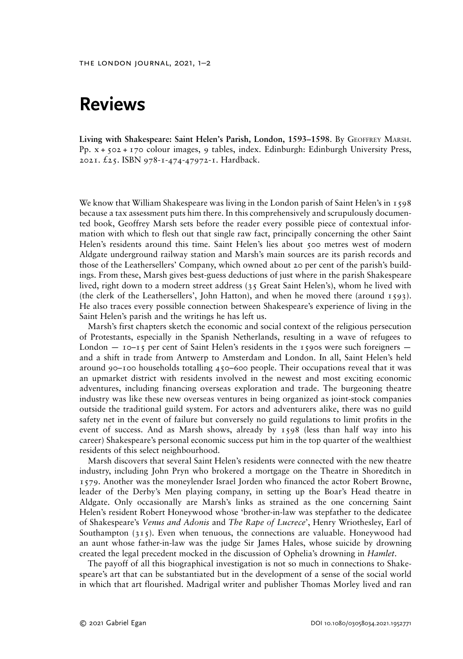## Reviews

Living with Shakespeare: Saint Helen's Parish, London, 1593–1598. By GEOFFREY MARSH. Pp. x + 502 + 170 colour images, 9 tables, index. Edinburgh: Edinburgh University Press, 2021. £25. ISBN 978-1-474-47972-1. Hardback.

We know that William Shakespeare was living in the London parish of Saint Helen's in 1598 because a tax assessment puts him there. In this comprehensively and scrupulously documented book, Geoffrey Marsh sets before the reader every possible piece of contextual information with which to flesh out that single raw fact, principally concerning the other Saint Helen's residents around this time. Saint Helen's lies about 500 metres west of modern Aldgate underground railway station and Marsh's main sources are its parish records and those of the Leathersellers' Company, which owned about 20 per cent of the parish's buildings. From these, Marsh gives best-guess deductions of just where in the parish Shakespeare lived, right down to a modern street address (35 Great Saint Helen's), whom he lived with (the clerk of the Leathersellers', John Hatton), and when he moved there (around 1593). He also traces every possible connection between Shakespeare's experience of living in the Saint Helen's parish and the writings he has left us.

Marsh's first chapters sketch the economic and social context of the religious persecution of Protestants, especially in the Spanish Netherlands, resulting in a wave of refugees to London  $-$  10–15 per cent of Saint Helen's residents in the 1590s were such foreigners  $$ and a shift in trade from Antwerp to Amsterdam and London. In all, Saint Helen's held around 90–100 households totalling  $450-600$  people. Their occupations reveal that it was an upmarket district with residents involved in the newest and most exciting economic adventures, including financing overseas exploration and trade. The burgeoning theatre industry was like these new overseas ventures in being organized as joint-stock companies outside the traditional guild system. For actors and adventurers alike, there was no guild safety net in the event of failure but conversely no guild regulations to limit profits in the event of success. And as Marsh shows, already by 1598 (less than half way into his career) Shakespeare's personal economic success put him in the top quarter of the wealthiest residents of this select neighbourhood.

Marsh discovers that several Saint Helen's residents were connected with the new theatre industry, including John Pryn who brokered a mortgage on the Theatre in Shoreditch in 1579. Another was the moneylender Israel Jorden who financed the actor Robert Browne, leader of the Derby's Men playing company, in setting up the Boar's Head theatre in Aldgate. Only occasionally are Marsh's links as strained as the one concerning Saint Helen's resident Robert Honeywood whose 'brother-in-law was stepfather to the dedicatee of Shakespeare's Venus and Adonis and The Rape of Lucrece', Henry Wriothesley, Earl of Southampton (315). Even when tenuous, the connections are valuable. Honeywood had an aunt whose father-in-law was the judge Sir James Hales, whose suicide by drowning created the legal precedent mocked in the discussion of Ophelia's drowning in Hamlet.

The payoff of all this biographical investigation is not so much in connections to Shakespeare's art that can be substantiated but in the development of a sense of the social world in which that art flourished. Madrigal writer and publisher Thomas Morley lived and ran